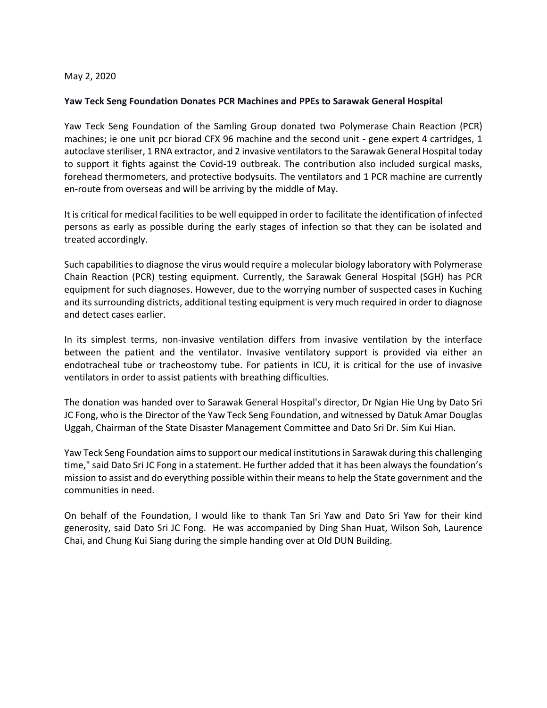## May 2, 2020

## **Yaw Teck Seng Foundation Donates PCR Machines and PPEs to Sarawak General Hospital**

Yaw Teck Seng Foundation of the Samling Group donated two Polymerase Chain Reaction (PCR) machines; ie one unit pcr biorad CFX 96 machine and the second unit - gene expert 4 cartridges, 1 autoclave steriliser, 1 RNA extractor, and 2 invasive ventilators to the Sarawak General Hospital today to support it fights against the Covid-19 outbreak. The contribution also included surgical masks, forehead thermometers, and protective bodysuits. The ventilators and 1 PCR machine are currently en-route from overseas and will be arriving by the middle of May.

It is critical for medical facilities to be well equipped in order to facilitate the identification of infected persons as early as possible during the early stages of infection so that they can be isolated and treated accordingly.

Such capabilities to diagnose the virus would require a molecular biology laboratory with Polymerase Chain Reaction (PCR) testing equipment. Currently, the Sarawak General Hospital (SGH) has PCR equipment for such diagnoses. However, due to the worrying number of suspected cases in Kuching and its surrounding districts, additional testing equipment is very much required in order to diagnose and detect cases earlier.

In its simplest terms, non-invasive ventilation differs from invasive ventilation by the interface between the patient and the ventilator. Invasive ventilatory support is provided via either an endotracheal tube or tracheostomy tube. For patients in ICU, it is critical for the use of invasive ventilators in order to assist patients with breathing difficulties.

The donation was handed over to Sarawak General Hospital's director, Dr Ngian Hie Ung by Dato Sri JC Fong, who is the Director of the Yaw Teck Seng Foundation, and witnessed by Datuk Amar Douglas Uggah, Chairman of the State Disaster Management Committee and Dato Sri Dr. Sim Kui Hian.

Yaw Teck Seng Foundation aims to support our medical institutions in Sarawak during this challenging time," said Dato Sri JC Fong in a statement. He further added that it has been always the foundation's mission to assist and do everything possible within their means to help the State government and the communities in need.

On behalf of the Foundation, I would like to thank Tan Sri Yaw and Dato Sri Yaw for their kind generosity, said Dato Sri JC Fong. He was accompanied by Ding Shan Huat, Wilson Soh, Laurence Chai, and Chung Kui Siang during the simple handing over at Old DUN Building.